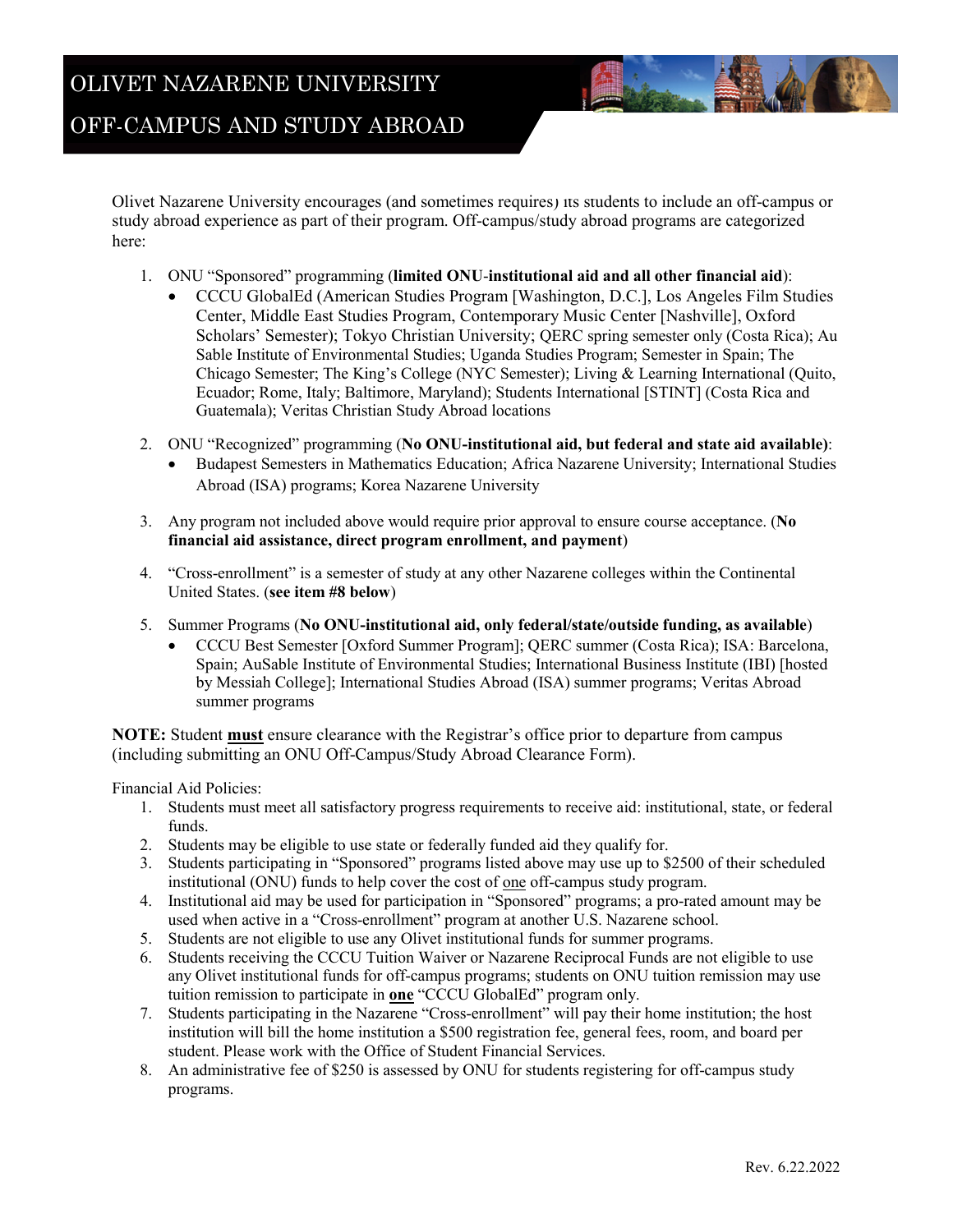Olivet Nazarene University encourages (and sometimes requires) its students to include an off-campus or study abroad experience as part of their program. Off-campus/study abroad programs are categorized here:

- 1. ONU "Sponsored" programming (**limited ONU**-**institutional aid and all other financial aid**):
	- CCCU GlobalEd (American Studies Program [Washington, D.C.], Los Angeles Film Studies Center, Middle East Studies Program, Contemporary Music Center [Nashville], Oxford Scholars' Semester); Tokyo Christian University; QERC spring semester only (Costa Rica); Au Sable Institute of Environmental Studies; Uganda Studies Program; Semester in Spain; The Chicago Semester; The King's College (NYC Semester); Living & Learning International (Quito, Ecuador; Rome, Italy; Baltimore, Maryland); Students International [STINT] (Costa Rica and Guatemala); Veritas Christian Study Abroad locations
- 2. ONU "Recognized" programming (**No ONU-institutional aid, but federal and state aid available)**:
	- Budapest Semesters in Mathematics Education; Africa Nazarene University; International Studies Abroad (ISA) programs; Korea Nazarene University
- 3. Any program not included above would require prior approval to ensure course acceptance. (**No financial aid assistance, direct program enrollment, and payment**)
- 4. "Cross-enrollment" is a semester of study at any other Nazarene colleges within the Continental United States. (**see item #8 below**)
- 5. Summer Programs (**No ONU-institutional aid, only federal/state/outside funding, as available**)
	- CCCU Best Semester [Oxford Summer Program]; QERC summer (Costa Rica); ISA: Barcelona, Spain; AuSable Institute of Environmental Studies; International Business Institute (IBI) [hosted by Messiah College]; International Studies Abroad (ISA) summer programs; Veritas Abroad summer programs

**NOTE:** Student **must** ensure clearance with the Registrar's office prior to departure from campus (including submitting an ONU Off-Campus/Study Abroad Clearance Form).

Financial Aid Policies:

- 1. Students must meet all satisfactory progress requirements to receive aid: institutional, state, or federal funds.
- 2. Students may be eligible to use state or federally funded aid they qualify for.
- 3. Students participating in "Sponsored" programs listed above may use up to \$2500 of their scheduled institutional (ONU) funds to help cover the cost of one off-campus study program.
- 4. Institutional aid may be used for participation in "Sponsored" programs; a pro-rated amount may be used when active in a "Cross-enrollment" program at another U.S. Nazarene school.
- 5. Students are not eligible to use any Olivet institutional funds for summer programs.
- 6. Students receiving the CCCU Tuition Waiver or Nazarene Reciprocal Funds are not eligible to use any Olivet institutional funds for off-campus programs; students on ONU tuition remission may use tuition remission to participate in **one** "CCCU GlobalEd" program only.
- 7. Students participating in the Nazarene "Cross-enrollment" will pay their home institution; the host institution will bill the home institution a \$500 registration fee, general fees, room, and board per student. Please work with the Office of Student Financial Services.
- 8. An administrative fee of \$250 is assessed by ONU for students registering for off-campus study programs.